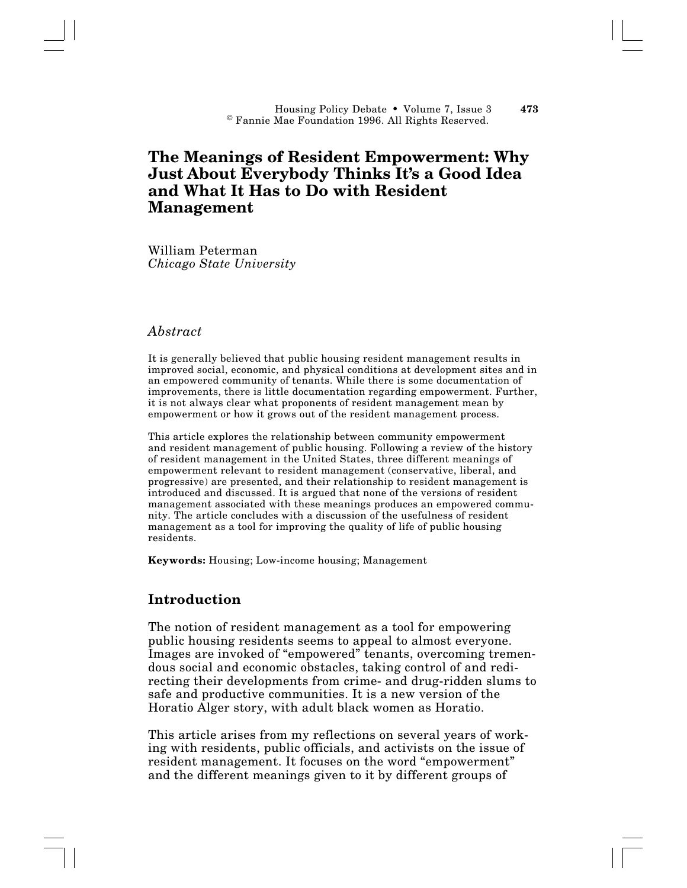# **The Meanings of Resident Empowerment: Why Just About Everybody Thinks It's a Good Idea and What It Has to Do with Resident Management**

William Peterman *Chicago State University*

#### *Abstract*

It is generally believed that public housing resident management results in improved social, economic, and physical conditions at development sites and in an empowered community of tenants. While there is some documentation of improvements, there is little documentation regarding empowerment. Further, it is not always clear what proponents of resident management mean by empowerment or how it grows out of the resident management process.

This article explores the relationship between community empowerment and resident management of public housing. Following a review of the history of resident management in the United States, three different meanings of empowerment relevant to resident management (conservative, liberal, and progressive) are presented, and their relationship to resident management is introduced and discussed. It is argued that none of the versions of resident management associated with these meanings produces an empowered community. The article concludes with a discussion of the usefulness of resident management as a tool for improving the quality of life of public housing residents.

**Keywords:** Housing; Low-income housing; Management

# **Introduction**

The notion of resident management as a tool for empowering public housing residents seems to appeal to almost everyone. Images are invoked of "empowered" tenants, overcoming tremendous social and economic obstacles, taking control of and redirecting their developments from crime- and drug-ridden slums to safe and productive communities. It is a new version of the Horatio Alger story, with adult black women as Horatio.

This article arises from my reflections on several years of working with residents, public officials, and activists on the issue of resident management. It focuses on the word "empowerment" and the different meanings given to it by different groups of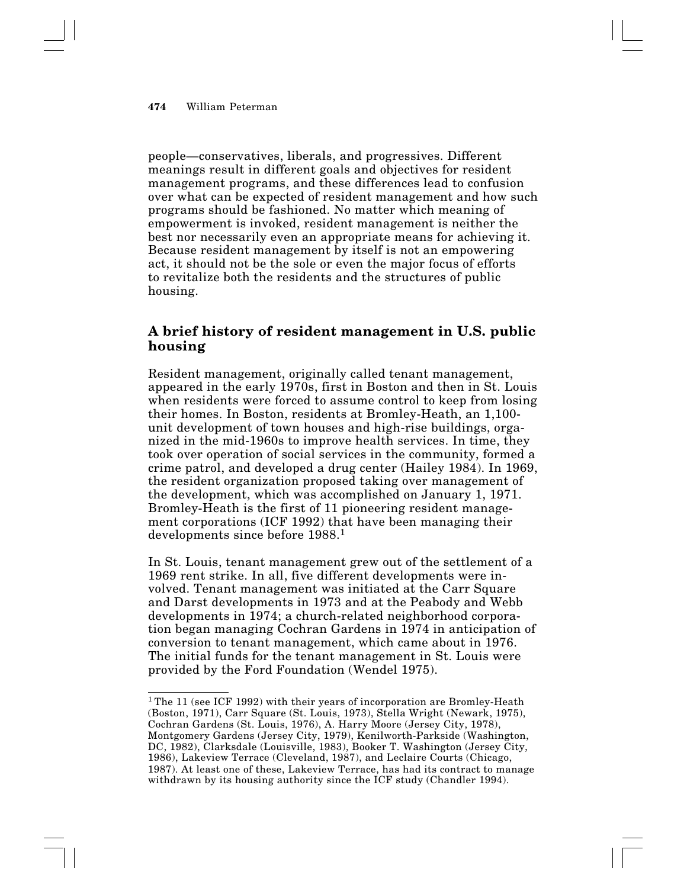people—conservatives, liberals, and progressives. Different meanings result in different goals and objectives for resident management programs, and these differences lead to confusion over what can be expected of resident management and how such programs should be fashioned. No matter which meaning of empowerment is invoked, resident management is neither the best nor necessarily even an appropriate means for achieving it. Because resident management by itself is not an empowering act, it should not be the sole or even the major focus of efforts to revitalize both the residents and the structures of public housing.

## **A brief history of resident management in U.S. public housing**

Resident management, originally called tenant management, appeared in the early 1970s, first in Boston and then in St. Louis when residents were forced to assume control to keep from losing their homes. In Boston, residents at Bromley-Heath, an 1,100 unit development of town houses and high-rise buildings, organized in the mid-1960s to improve health services. In time, they took over operation of social services in the community, formed a crime patrol, and developed a drug center (Hailey 1984). In 1969, the resident organization proposed taking over management of the development, which was accomplished on January 1, 1971. Bromley-Heath is the first of 11 pioneering resident management corporations (ICF 1992) that have been managing their developments since before 1988.1

In St. Louis, tenant management grew out of the settlement of a 1969 rent strike. In all, five different developments were involved. Tenant management was initiated at the Carr Square and Darst developments in 1973 and at the Peabody and Webb developments in 1974; a church-related neighborhood corporation began managing Cochran Gardens in 1974 in anticipation of conversion to tenant management, which came about in 1976. The initial funds for the tenant management in St. Louis were provided by the Ford Foundation (Wendel 1975).

<sup>&</sup>lt;sup>1</sup> The 11 (see ICF 1992) with their years of incorporation are Bromley-Heath (Boston, 1971), Carr Square (St. Louis, 1973), Stella Wright (Newark, 1975), Cochran Gardens (St. Louis, 1976), A. Harry Moore (Jersey City, 1978), Montgomery Gardens (Jersey City, 1979), Kenilworth-Parkside (Washington, DC, 1982), Clarksdale (Louisville, 1983), Booker T. Washington (Jersey City, 1986), Lakeview Terrace (Cleveland, 1987), and Leclaire Courts (Chicago, 1987). At least one of these, Lakeview Terrace, has had its contract to manage withdrawn by its housing authority since the ICF study (Chandler 1994).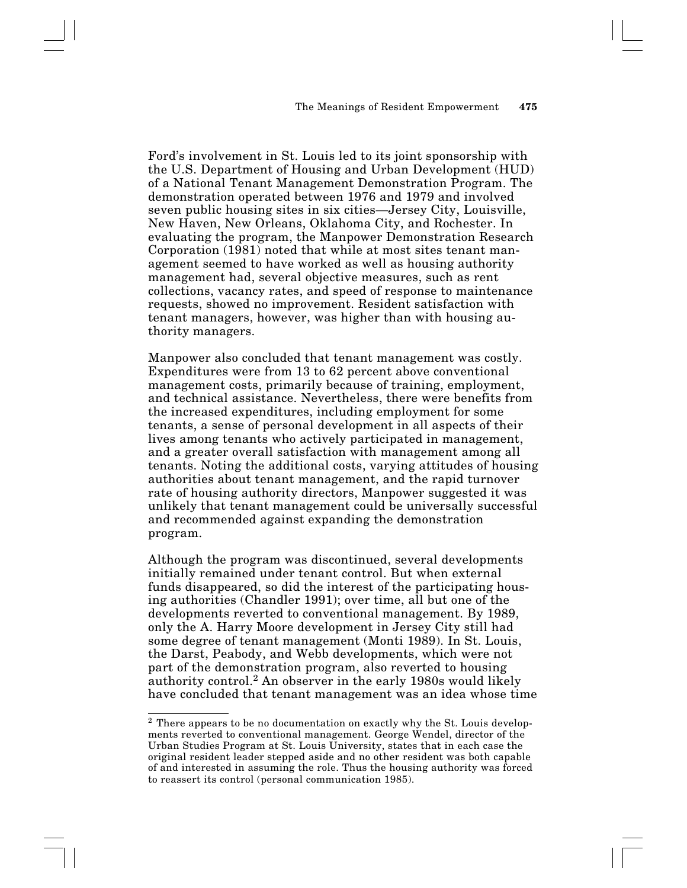Ford's involvement in St. Louis led to its joint sponsorship with the U.S. Department of Housing and Urban Development (HUD) of a National Tenant Management Demonstration Program. The demonstration operated between 1976 and 1979 and involved seven public housing sites in six cities—Jersey City, Louisville, New Haven, New Orleans, Oklahoma City, and Rochester. In evaluating the program, the Manpower Demonstration Research Corporation (1981) noted that while at most sites tenant management seemed to have worked as well as housing authority management had, several objective measures, such as rent collections, vacancy rates, and speed of response to maintenance requests, showed no improvement. Resident satisfaction with tenant managers, however, was higher than with housing authority managers.

Manpower also concluded that tenant management was costly. Expenditures were from 13 to 62 percent above conventional management costs, primarily because of training, employment, and technical assistance. Nevertheless, there were benefits from the increased expenditures, including employment for some tenants, a sense of personal development in all aspects of their lives among tenants who actively participated in management, and a greater overall satisfaction with management among all tenants. Noting the additional costs, varying attitudes of housing authorities about tenant management, and the rapid turnover rate of housing authority directors, Manpower suggested it was unlikely that tenant management could be universally successful and recommended against expanding the demonstration program.

Although the program was discontinued, several developments initially remained under tenant control. But when external funds disappeared, so did the interest of the participating housing authorities (Chandler 1991); over time, all but one of the developments reverted to conventional management. By 1989, only the A. Harry Moore development in Jersey City still had some degree of tenant management (Monti 1989). In St. Louis, the Darst, Peabody, and Webb developments, which were not part of the demonstration program, also reverted to housing authority control.2 An observer in the early 1980s would likely have concluded that tenant management was an idea whose time

 $2$  There appears to be no documentation on exactly why the St. Louis developments reverted to conventional management. George Wendel, director of the Urban Studies Program at St. Louis University, states that in each case the original resident leader stepped aside and no other resident was both capable of and interested in assuming the role. Thus the housing authority was forced to reassert its control (personal communication 1985).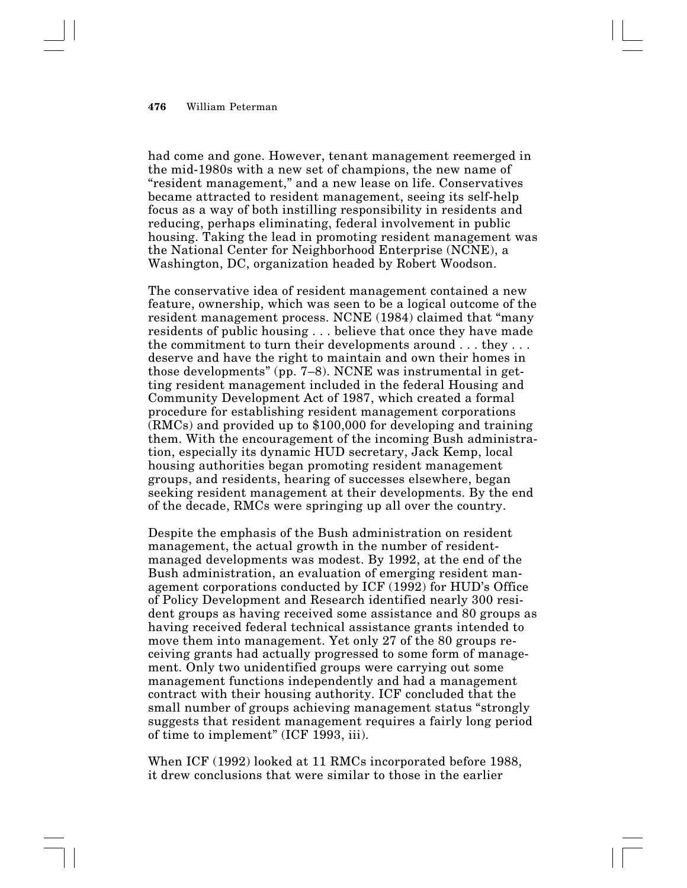had come and gone. However, tenant management reemerged in the mid-1980s with a new set of champions, the new name of "resident management," and a new lease on life. Conservatives became attracted to resident management, seeing its self-help focus as a way of both instilling responsibility in residents and reducing, perhaps eliminating, federal involvement in public housing. Taking the lead in promoting resident management was the National Center for Neighborhood Enterprise (NCNE), a Washington, DC, organization headed by Robert Woodson.

The conservative idea of resident management contained a new feature, ownership, which was seen to be a logical outcome of the resident management process. NCNE (1984) claimed that "many residents of public housing . . . believe that once they have made the commitment to turn their developments around . . . they . . . deserve and have the right to maintain and own their homes in those developments" (pp. 7–8). NCNE was instrumental in getting resident management included in the federal Housing and Community Development Act of 1987, which created a formal procedure for establishing resident management corporations (RMCs) and provided up to \$100,000 for developing and training them. With the encouragement of the incoming Bush administration, especially its dynamic HUD secretary, Jack Kemp, local housing authorities began promoting resident management groups, and residents, hearing of successes elsewhere, began seeking resident management at their developments. By the end of the decade, RMCs were springing up all over the country.

Despite the emphasis of the Bush administration on resident management, the actual growth in the number of residentmanaged developments was modest. By 1992, at the end of the Bush administration, an evaluation of emerging resident management corporations conducted by ICF (1992) for HUD's Office of Policy Development and Research identified nearly 300 resident groups as having received some assistance and 80 groups as having received federal technical assistance grants intended to move them into management. Yet only 27 of the 80 groups receiving grants had actually progressed to some form of management. Only two unidentified groups were carrying out some management functions independently and had a management contract with their housing authority. ICF concluded that the small number of groups achieving management status "strongly suggests that resident management requires a fairly long period of time to implement" (ICF 1993, iii).

When ICF (1992) looked at 11 RMCs incorporated before 1988, it drew conclusions that were similar to those in the earlier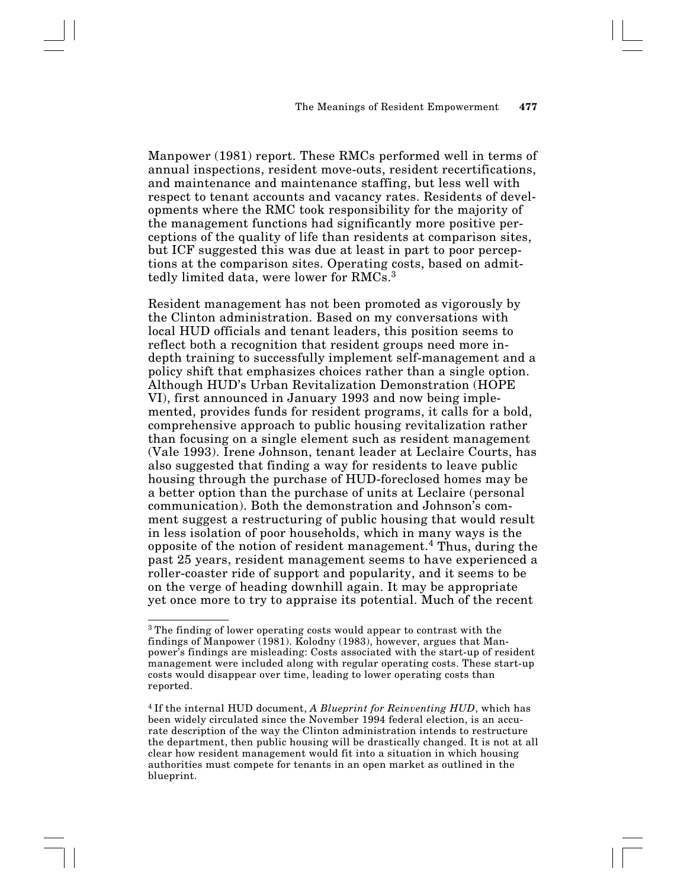Manpower (1981) report. These RMCs performed well in terms of annual inspections, resident move-outs, resident recertifications, and maintenance and maintenance staffing, but less well with respect to tenant accounts and vacancy rates. Residents of developments where the RMC took responsibility for the majority of the management functions had significantly more positive perceptions of the quality of life than residents at comparison sites, but ICF suggested this was due at least in part to poor perceptions at the comparison sites. Operating costs, based on admittedly limited data, were lower for RMCs.<sup>3</sup>

Resident management has not been promoted as vigorously by the Clinton administration. Based on my conversations with local HUD officials and tenant leaders, this position seems to reflect both a recognition that resident groups need more indepth training to successfully implement self-management and a policy shift that emphasizes choices rather than a single option. Although HUD's Urban Revitalization Demonstration (HOPE VI), first announced in January 1993 and now being implemented, provides funds for resident programs, it calls for a bold, comprehensive approach to public housing revitalization rather than focusing on a single element such as resident management (Vale 1993). Irene Johnson, tenant leader at Leclaire Courts, has also suggested that finding a way for residents to leave public housing through the purchase of HUD-foreclosed homes may be a better option than the purchase of units at Leclaire (personal communication). Both the demonstration and Johnson's comment suggest a restructuring of public housing that would result in less isolation of poor households, which in many ways is the opposite of the notion of resident management.4 Thus, during the past 25 years, resident management seems to have experienced a roller-coaster ride of support and popularity, and it seems to be on the verge of heading downhill again. It may be appropriate yet once more to try to appraise its potential. Much of the recent

<sup>3</sup> The finding of lower operating costs would appear to contrast with the findings of Manpower (1981). Kolodny (1983), however, argues that Manpower's findings are misleading: Costs associated with the start-up of resident management were included along with regular operating costs. These start-up costs would disappear over time, leading to lower operating costs than reported.

<sup>4</sup> If the internal HUD document, *A Blueprint for Reinventing HUD*, which has been widely circulated since the November 1994 federal election, is an accurate description of the way the Clinton administration intends to restructure the department, then public housing will be drastically changed. It is not at all clear how resident management would fit into a situation in which housing authorities must compete for tenants in an open market as outlined in the blueprint.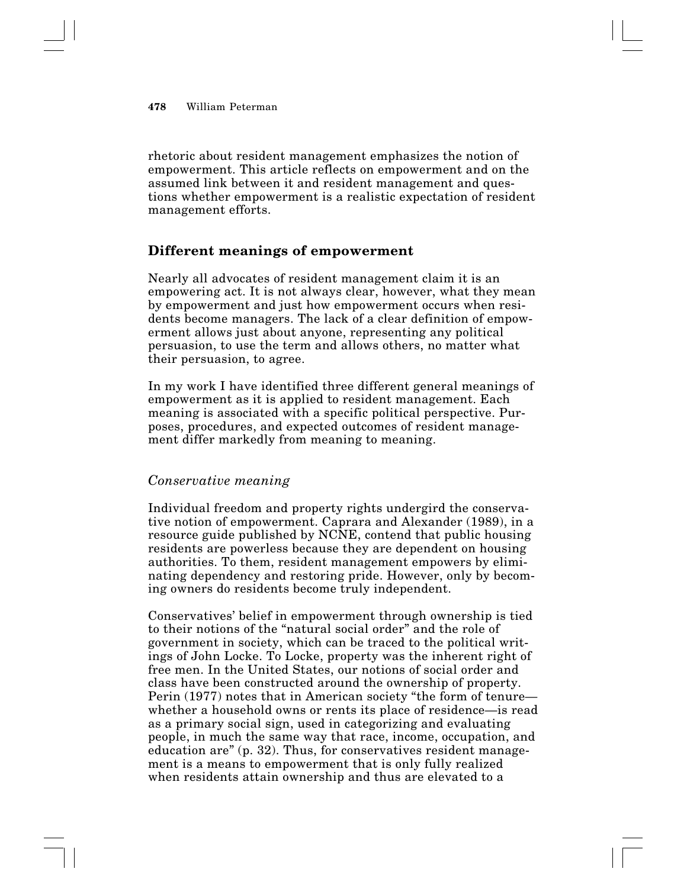rhetoric about resident management emphasizes the notion of empowerment. This article reflects on empowerment and on the assumed link between it and resident management and questions whether empowerment is a realistic expectation of resident management efforts.

### **Different meanings of empowerment**

Nearly all advocates of resident management claim it is an empowering act. It is not always clear, however, what they mean by empowerment and just how empowerment occurs when residents become managers. The lack of a clear definition of empowerment allows just about anyone, representing any political persuasion, to use the term and allows others, no matter what their persuasion, to agree.

In my work I have identified three different general meanings of empowerment as it is applied to resident management. Each meaning is associated with a specific political perspective. Purposes, procedures, and expected outcomes of resident management differ markedly from meaning to meaning.

#### *Conservative meaning*

Individual freedom and property rights undergird the conservative notion of empowerment. Caprara and Alexander (1989), in a resource guide published by NCNE, contend that public housing residents are powerless because they are dependent on housing authorities. To them, resident management empowers by eliminating dependency and restoring pride. However, only by becoming owners do residents become truly independent.

Conservatives' belief in empowerment through ownership is tied to their notions of the "natural social order" and the role of government in society, which can be traced to the political writings of John Locke. To Locke, property was the inherent right of free men. In the United States, our notions of social order and class have been constructed around the ownership of property. Perin (1977) notes that in American society "the form of tenure whether a household owns or rents its place of residence—is read as a primary social sign, used in categorizing and evaluating people, in much the same way that race, income, occupation, and education are" (p. 32). Thus, for conservatives resident management is a means to empowerment that is only fully realized when residents attain ownership and thus are elevated to a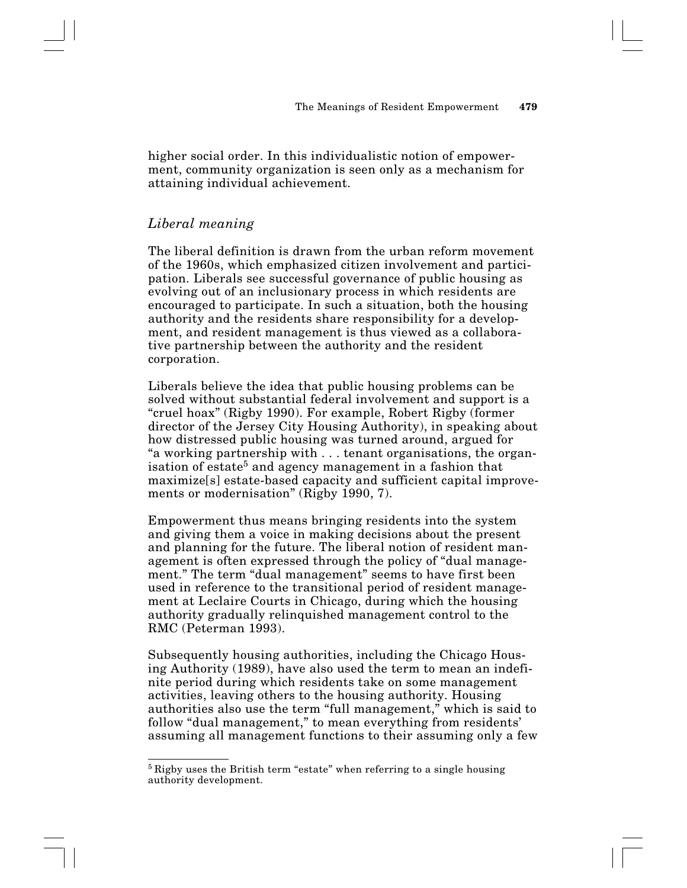higher social order. In this individualistic notion of empowerment, community organization is seen only as a mechanism for attaining individual achievement.

# *Liberal meaning*

The liberal definition is drawn from the urban reform movement of the 1960s, which emphasized citizen involvement and participation. Liberals see successful governance of public housing as evolving out of an inclusionary process in which residents are encouraged to participate. In such a situation, both the housing authority and the residents share responsibility for a development, and resident management is thus viewed as a collaborative partnership between the authority and the resident corporation.

Liberals believe the idea that public housing problems can be solved without substantial federal involvement and support is a "cruel hoax" (Rigby 1990). For example, Robert Rigby (former director of the Jersey City Housing Authority), in speaking about how distressed public housing was turned around, argued for "a working partnership with . . . tenant organisations, the organisation of estate<sup>5</sup> and agency management in a fashion that maximize[s] estate-based capacity and sufficient capital improvements or modernisation" (Rigby 1990, 7).

Empowerment thus means bringing residents into the system and giving them a voice in making decisions about the present and planning for the future. The liberal notion of resident management is often expressed through the policy of "dual management." The term "dual management" seems to have first been used in reference to the transitional period of resident management at Leclaire Courts in Chicago, during which the housing authority gradually relinquished management control to the RMC (Peterman 1993).

Subsequently housing authorities, including the Chicago Housing Authority (1989), have also used the term to mean an indefinite period during which residents take on some management activities, leaving others to the housing authority. Housing authorities also use the term "full management," which is said to follow "dual management," to mean everything from residents' assuming all management functions to their assuming only a few

<sup>5</sup> Rigby uses the British term "estate" when referring to a single housing authority development.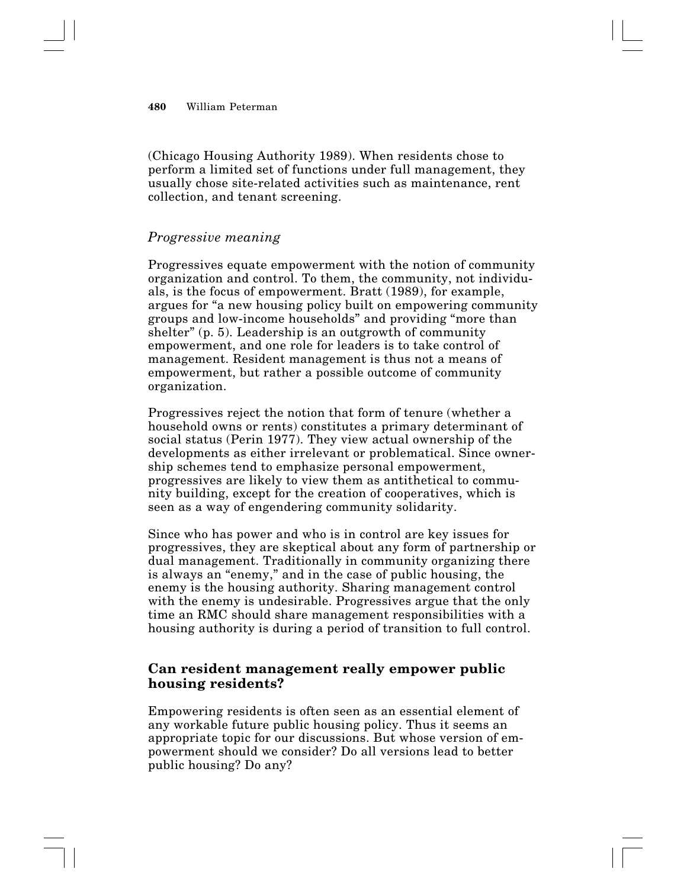(Chicago Housing Authority 1989). When residents chose to perform a limited set of functions under full management, they usually chose site-related activities such as maintenance, rent collection, and tenant screening.

### *Progressive meaning*

Progressives equate empowerment with the notion of community organization and control. To them, the community, not individuals, is the focus of empowerment. Bratt (1989), for example, argues for "a new housing policy built on empowering community groups and low-income households" and providing "more than shelter" (p. 5). Leadership is an outgrowth of community empowerment, and one role for leaders is to take control of management. Resident management is thus not a means of empowerment, but rather a possible outcome of community organization.

Progressives reject the notion that form of tenure (whether a household owns or rents) constitutes a primary determinant of social status (Perin 1977). They view actual ownership of the developments as either irrelevant or problematical. Since ownership schemes tend to emphasize personal empowerment, progressives are likely to view them as antithetical to community building, except for the creation of cooperatives, which is seen as a way of engendering community solidarity.

Since who has power and who is in control are key issues for progressives, they are skeptical about any form of partnership or dual management. Traditionally in community organizing there is always an "enemy," and in the case of public housing, the enemy is the housing authority. Sharing management control with the enemy is undesirable. Progressives argue that the only time an RMC should share management responsibilities with a housing authority is during a period of transition to full control.

## **Can resident management really empower public housing residents?**

Empowering residents is often seen as an essential element of any workable future public housing policy. Thus it seems an appropriate topic for our discussions. But whose version of empowerment should we consider? Do all versions lead to better public housing? Do any?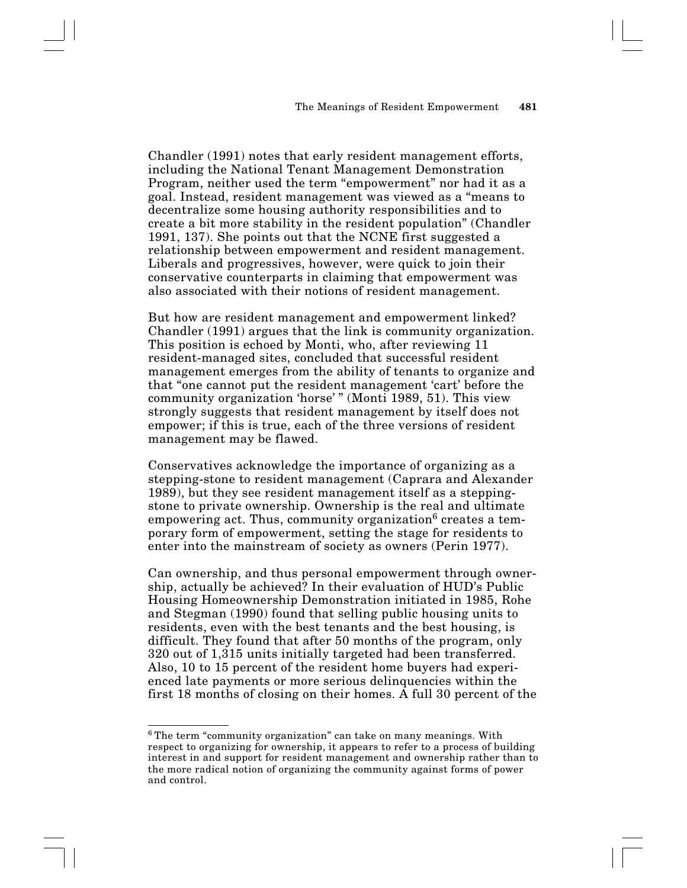Chandler (1991) notes that early resident management efforts, including the National Tenant Management Demonstration Program, neither used the term "empowerment" nor had it as a goal. Instead, resident management was viewed as a "means to decentralize some housing authority responsibilities and to create a bit more stability in the resident population" (Chandler 1991, 137). She points out that the NCNE first suggested a relationship between empowerment and resident management. Liberals and progressives, however, were quick to join their conservative counterparts in claiming that empowerment was also associated with their notions of resident management.

But how are resident management and empowerment linked? Chandler (1991) argues that the link is community organization. This position is echoed by Monti, who, after reviewing 11 resident-managed sites, concluded that successful resident management emerges from the ability of tenants to organize and that "one cannot put the resident management 'cart' before the community organization 'horse' " (Monti 1989, 51). This view strongly suggests that resident management by itself does not empower; if this is true, each of the three versions of resident management may be flawed.

Conservatives acknowledge the importance of organizing as a stepping-stone to resident management (Caprara and Alexander 1989), but they see resident management itself as a steppingstone to private ownership. Ownership is the real and ultimate empowering act. Thus, community organization $6$  creates a temporary form of empowerment, setting the stage for residents to enter into the mainstream of society as owners (Perin 1977).

Can ownership, and thus personal empowerment through ownership, actually be achieved? In their evaluation of HUD's Public Housing Homeownership Demonstration initiated in 1985, Rohe and Stegman (1990) found that selling public housing units to residents, even with the best tenants and the best housing, is difficult. They found that after 50 months of the program, only 320 out of 1,315 units initially targeted had been transferred. Also, 10 to 15 percent of the resident home buyers had experienced late payments or more serious delinquencies within the first 18 months of closing on their homes. A full 30 percent of the

 $6$ The term "community organization" can take on many meanings. With respect to organizing for ownership, it appears to refer to a process of building interest in and support for resident management and ownership rather than to the more radical notion of organizing the community against forms of power and control.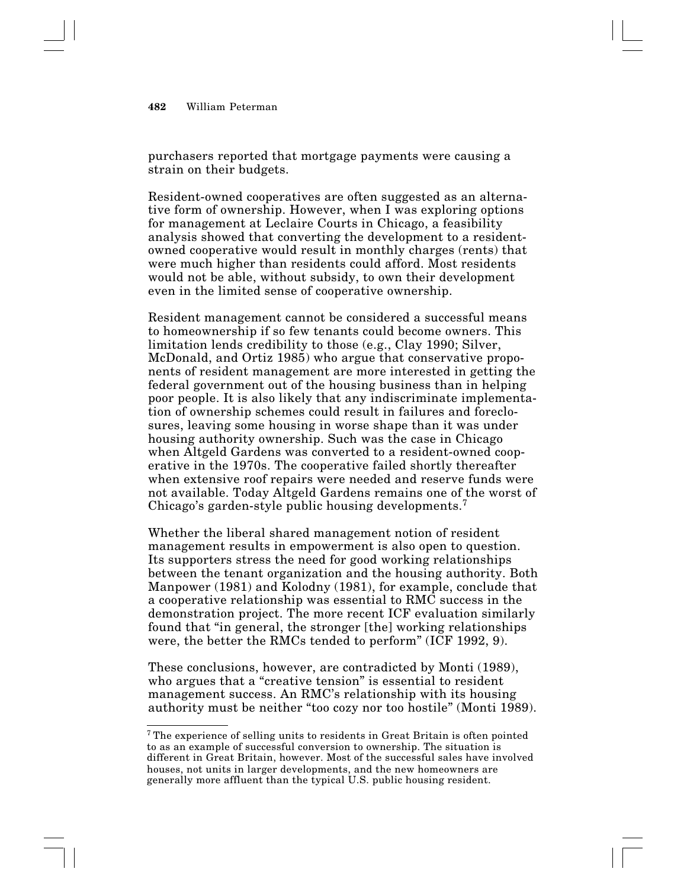purchasers reported that mortgage payments were causing a strain on their budgets.

Resident-owned cooperatives are often suggested as an alternative form of ownership. However, when I was exploring options for management at Leclaire Courts in Chicago, a feasibility analysis showed that converting the development to a residentowned cooperative would result in monthly charges (rents) that were much higher than residents could afford. Most residents would not be able, without subsidy, to own their development even in the limited sense of cooperative ownership.

Resident management cannot be considered a successful means to homeownership if so few tenants could become owners. This limitation lends credibility to those (e.g., Clay 1990; Silver, McDonald, and Ortiz 1985) who argue that conservative proponents of resident management are more interested in getting the federal government out of the housing business than in helping poor people. It is also likely that any indiscriminate implementation of ownership schemes could result in failures and foreclosures, leaving some housing in worse shape than it was under housing authority ownership. Such was the case in Chicago when Altgeld Gardens was converted to a resident-owned cooperative in the 1970s. The cooperative failed shortly thereafter when extensive roof repairs were needed and reserve funds were not available. Today Altgeld Gardens remains one of the worst of Chicago's garden-style public housing developments.<sup>7</sup>

Whether the liberal shared management notion of resident management results in empowerment is also open to question. Its supporters stress the need for good working relationships between the tenant organization and the housing authority. Both Manpower (1981) and Kolodny (1981), for example, conclude that a cooperative relationship was essential to RMC success in the demonstration project. The more recent ICF evaluation similarly found that "in general, the stronger [the] working relationships were, the better the RMCs tended to perform" (ICF 1992, 9).

These conclusions, however, are contradicted by Monti (1989), who argues that a "creative tension" is essential to resident management success. An RMC's relationship with its housing authority must be neither "too cozy nor too hostile" (Monti 1989).

<sup>7</sup> The experience of selling units to residents in Great Britain is often pointed to as an example of successful conversion to ownership. The situation is different in Great Britain, however. Most of the successful sales have involved houses, not units in larger developments, and the new homeowners are generally more affluent than the typical U.S. public housing resident.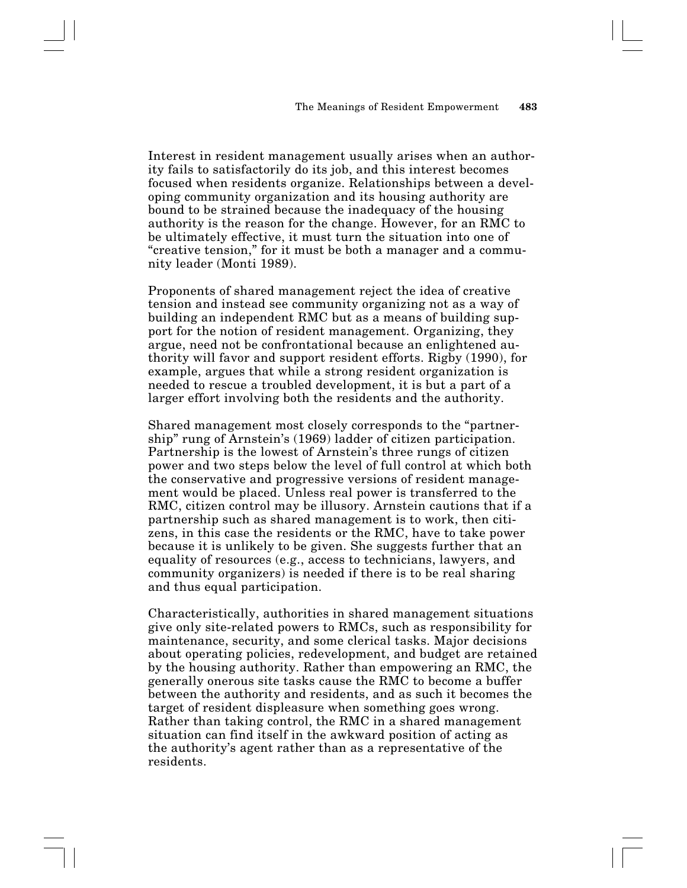Interest in resident management usually arises when an authority fails to satisfactorily do its job, and this interest becomes focused when residents organize. Relationships between a developing community organization and its housing authority are bound to be strained because the inadequacy of the housing authority is the reason for the change. However, for an RMC to be ultimately effective, it must turn the situation into one of "creative tension," for it must be both a manager and a community leader (Monti 1989).

Proponents of shared management reject the idea of creative tension and instead see community organizing not as a way of building an independent RMC but as a means of building support for the notion of resident management. Organizing, they argue, need not be confrontational because an enlightened authority will favor and support resident efforts. Rigby (1990), for example, argues that while a strong resident organization is needed to rescue a troubled development, it is but a part of a larger effort involving both the residents and the authority.

Shared management most closely corresponds to the "partnership" rung of Arnstein's (1969) ladder of citizen participation. Partnership is the lowest of Arnstein's three rungs of citizen power and two steps below the level of full control at which both the conservative and progressive versions of resident management would be placed. Unless real power is transferred to the RMC, citizen control may be illusory. Arnstein cautions that if a partnership such as shared management is to work, then citizens, in this case the residents or the RMC, have to take power because it is unlikely to be given. She suggests further that an equality of resources (e.g., access to technicians, lawyers, and community organizers) is needed if there is to be real sharing and thus equal participation.

Characteristically, authorities in shared management situations give only site-related powers to RMCs, such as responsibility for maintenance, security, and some clerical tasks. Major decisions about operating policies, redevelopment, and budget are retained by the housing authority. Rather than empowering an RMC, the generally onerous site tasks cause the RMC to become a buffer between the authority and residents, and as such it becomes the target of resident displeasure when something goes wrong. Rather than taking control, the RMC in a shared management situation can find itself in the awkward position of acting as the authority's agent rather than as a representative of the residents.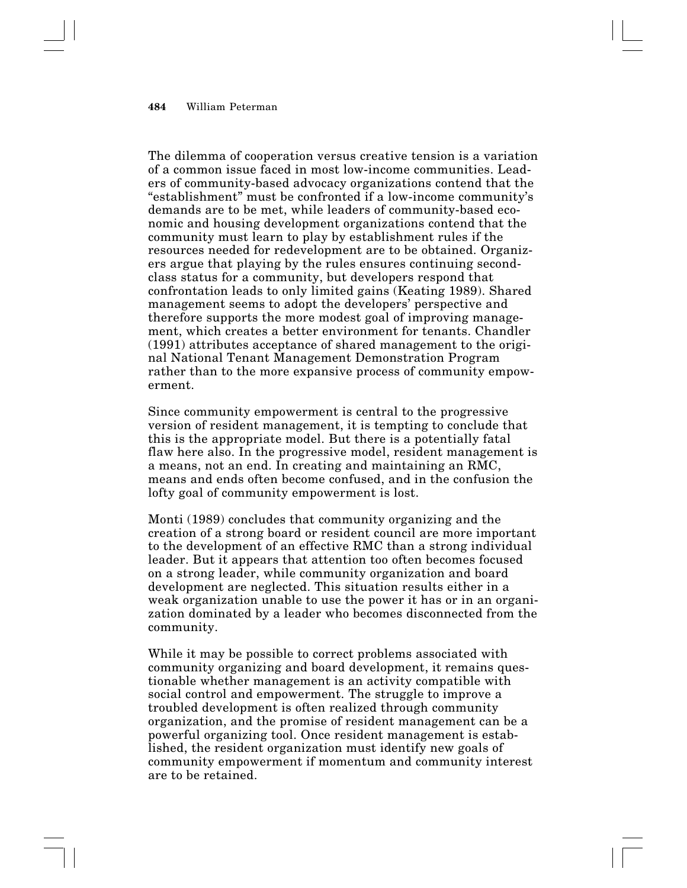The dilemma of cooperation versus creative tension is a variation of a common issue faced in most low-income communities. Leaders of community-based advocacy organizations contend that the "establishment" must be confronted if a low-income community's demands are to be met, while leaders of community-based economic and housing development organizations contend that the community must learn to play by establishment rules if the resources needed for redevelopment are to be obtained. Organizers argue that playing by the rules ensures continuing secondclass status for a community, but developers respond that confrontation leads to only limited gains (Keating 1989). Shared management seems to adopt the developers' perspective and therefore supports the more modest goal of improving management, which creates a better environment for tenants. Chandler (1991) attributes acceptance of shared management to the original National Tenant Management Demonstration Program rather than to the more expansive process of community empowerment.

Since community empowerment is central to the progressive version of resident management, it is tempting to conclude that this is the appropriate model. But there is a potentially fatal flaw here also. In the progressive model, resident management is a means, not an end. In creating and maintaining an RMC, means and ends often become confused, and in the confusion the lofty goal of community empowerment is lost.

Monti (1989) concludes that community organizing and the creation of a strong board or resident council are more important to the development of an effective RMC than a strong individual leader. But it appears that attention too often becomes focused on a strong leader, while community organization and board development are neglected. This situation results either in a weak organization unable to use the power it has or in an organization dominated by a leader who becomes disconnected from the community.

While it may be possible to correct problems associated with community organizing and board development, it remains questionable whether management is an activity compatible with social control and empowerment. The struggle to improve a troubled development is often realized through community organization, and the promise of resident management can be a powerful organizing tool. Once resident management is established, the resident organization must identify new goals of community empowerment if momentum and community interest are to be retained.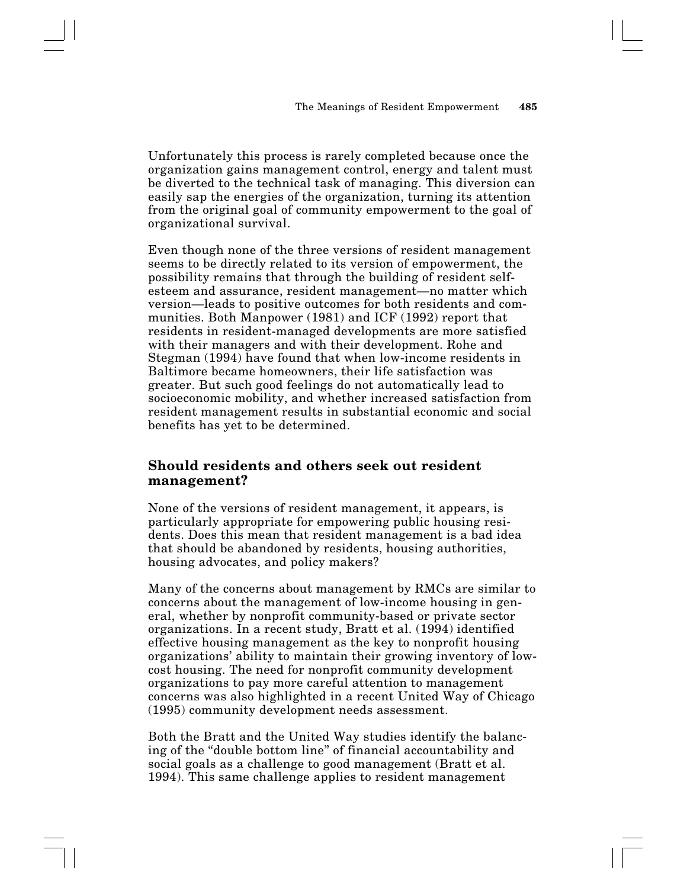Unfortunately this process is rarely completed because once the organization gains management control, energy and talent must be diverted to the technical task of managing. This diversion can easily sap the energies of the organization, turning its attention from the original goal of community empowerment to the goal of organizational survival.

Even though none of the three versions of resident management seems to be directly related to its version of empowerment, the possibility remains that through the building of resident selfesteem and assurance, resident management—no matter which version—leads to positive outcomes for both residents and communities. Both Manpower (1981) and ICF (1992) report that residents in resident-managed developments are more satisfied with their managers and with their development. Rohe and Stegman (1994) have found that when low-income residents in Baltimore became homeowners, their life satisfaction was greater. But such good feelings do not automatically lead to socioeconomic mobility, and whether increased satisfaction from resident management results in substantial economic and social benefits has yet to be determined.

### **Should residents and others seek out resident management?**

None of the versions of resident management, it appears, is particularly appropriate for empowering public housing residents. Does this mean that resident management is a bad idea that should be abandoned by residents, housing authorities, housing advocates, and policy makers?

Many of the concerns about management by RMCs are similar to concerns about the management of low-income housing in general, whether by nonprofit community-based or private sector organizations. In a recent study, Bratt et al. (1994) identified effective housing management as the key to nonprofit housing organizations' ability to maintain their growing inventory of lowcost housing. The need for nonprofit community development organizations to pay more careful attention to management concerns was also highlighted in a recent United Way of Chicago (1995) community development needs assessment.

Both the Bratt and the United Way studies identify the balancing of the "double bottom line" of financial accountability and social goals as a challenge to good management (Bratt et al. 1994). This same challenge applies to resident management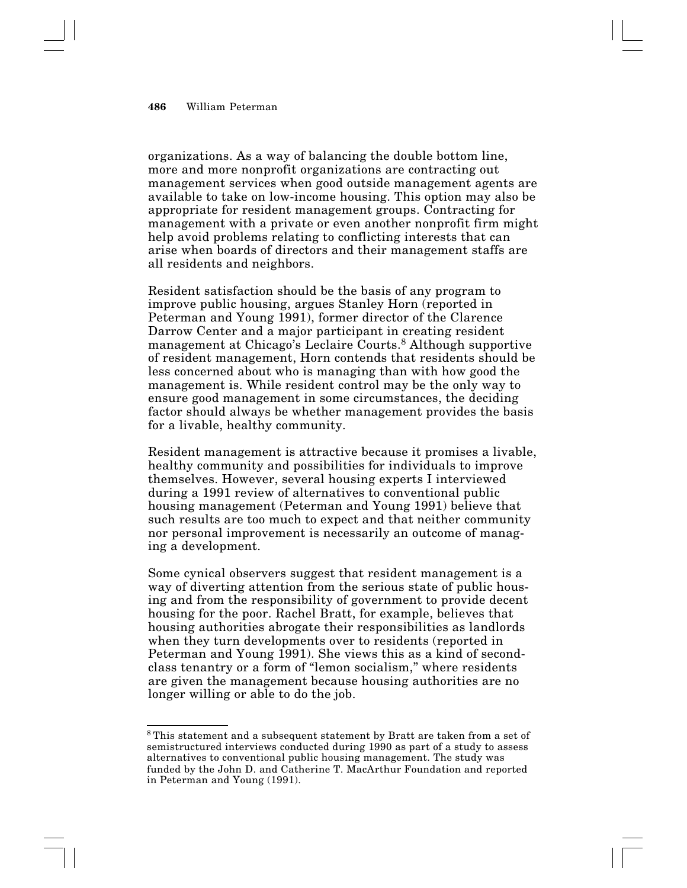organizations. As a way of balancing the double bottom line, more and more nonprofit organizations are contracting out management services when good outside management agents are available to take on low-income housing. This option may also be appropriate for resident management groups. Contracting for management with a private or even another nonprofit firm might help avoid problems relating to conflicting interests that can arise when boards of directors and their management staffs are all residents and neighbors.

Resident satisfaction should be the basis of any program to improve public housing, argues Stanley Horn (reported in Peterman and Young 1991), former director of the Clarence Darrow Center and a major participant in creating resident management at Chicago's Leclaire Courts.8 Although supportive of resident management, Horn contends that residents should be less concerned about who is managing than with how good the management is. While resident control may be the only way to ensure good management in some circumstances, the deciding factor should always be whether management provides the basis for a livable, healthy community.

Resident management is attractive because it promises a livable, healthy community and possibilities for individuals to improve themselves. However, several housing experts I interviewed during a 1991 review of alternatives to conventional public housing management (Peterman and Young 1991) believe that such results are too much to expect and that neither community nor personal improvement is necessarily an outcome of managing a development.

Some cynical observers suggest that resident management is a way of diverting attention from the serious state of public housing and from the responsibility of government to provide decent housing for the poor. Rachel Bratt, for example, believes that housing authorities abrogate their responsibilities as landlords when they turn developments over to residents (reported in Peterman and Young 1991). She views this as a kind of secondclass tenantry or a form of "lemon socialism," where residents are given the management because housing authorities are no longer willing or able to do the job.

<sup>8</sup> This statement and a subsequent statement by Bratt are taken from a set of semistructured interviews conducted during 1990 as part of a study to assess alternatives to conventional public housing management. The study was funded by the John D. and Catherine T. MacArthur Foundation and reported in Peterman and Young (1991).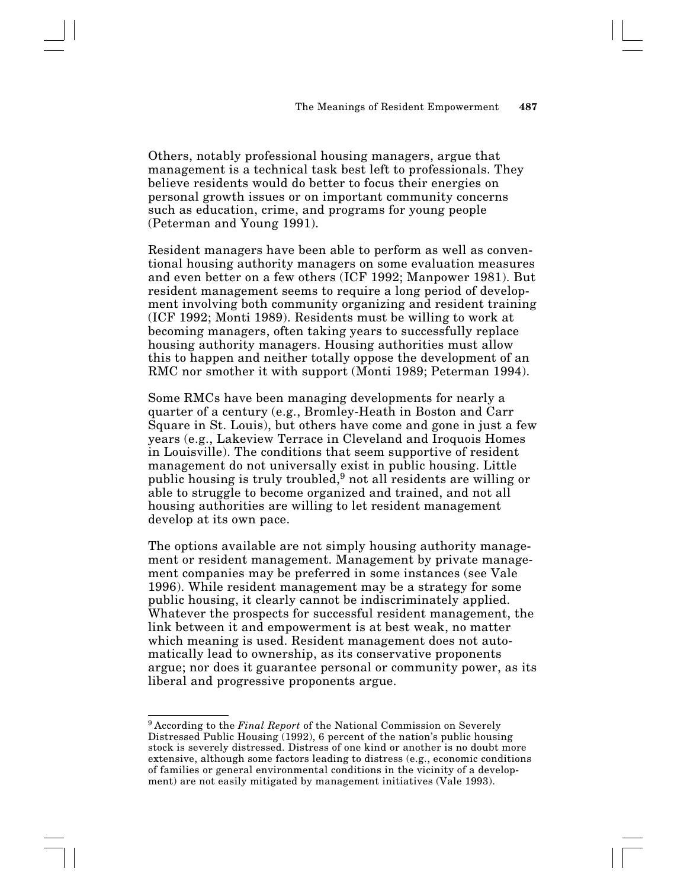Others, notably professional housing managers, argue that management is a technical task best left to professionals. They believe residents would do better to focus their energies on personal growth issues or on important community concerns such as education, crime, and programs for young people (Peterman and Young 1991).

Resident managers have been able to perform as well as conventional housing authority managers on some evaluation measures and even better on a few others (ICF 1992; Manpower 1981). But resident management seems to require a long period of development involving both community organizing and resident training (ICF 1992; Monti 1989). Residents must be willing to work at becoming managers, often taking years to successfully replace housing authority managers. Housing authorities must allow this to happen and neither totally oppose the development of an RMC nor smother it with support (Monti 1989; Peterman 1994).

Some RMCs have been managing developments for nearly a quarter of a century (e.g., Bromley-Heath in Boston and Carr Square in St. Louis), but others have come and gone in just a few years (e.g., Lakeview Terrace in Cleveland and Iroquois Homes in Louisville). The conditions that seem supportive of resident management do not universally exist in public housing. Little public housing is truly troubled,9 not all residents are willing or able to struggle to become organized and trained, and not all housing authorities are willing to let resident management develop at its own pace.

The options available are not simply housing authority management or resident management. Management by private management companies may be preferred in some instances (see Vale 1996). While resident management may be a strategy for some public housing, it clearly cannot be indiscriminately applied. Whatever the prospects for successful resident management, the link between it and empowerment is at best weak, no matter which meaning is used. Resident management does not automatically lead to ownership, as its conservative proponents argue; nor does it guarantee personal or community power, as its liberal and progressive proponents argue.

<sup>9</sup> According to the *Final Report* of the National Commission on Severely Distressed Public Housing (1992), 6 percent of the nation's public housing stock is severely distressed. Distress of one kind or another is no doubt more extensive, although some factors leading to distress (e.g., economic conditions of families or general environmental conditions in the vicinity of a development) are not easily mitigated by management initiatives (Vale 1993).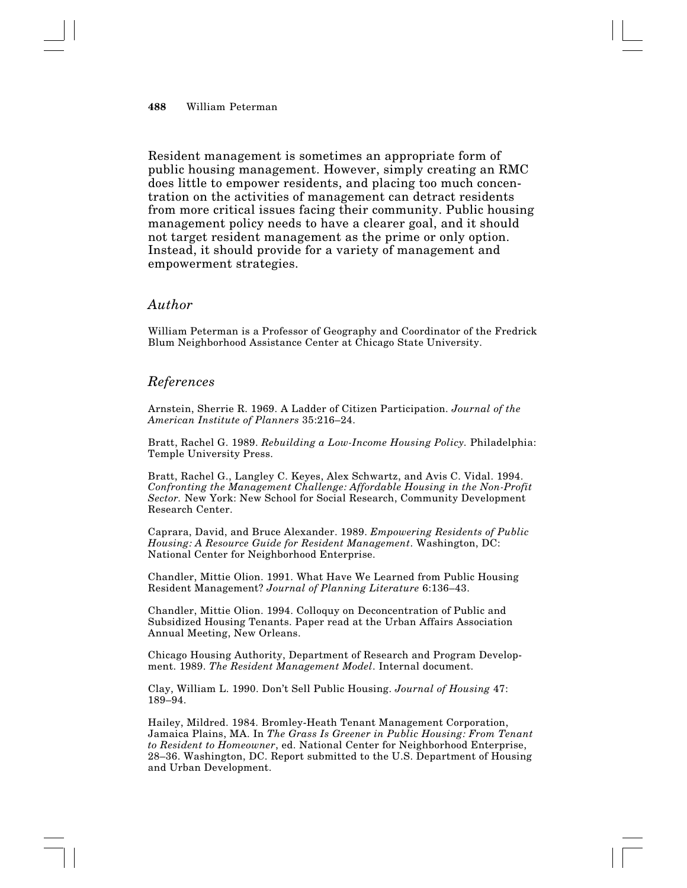Resident management is sometimes an appropriate form of public housing management. However, simply creating an RMC does little to empower residents, and placing too much concentration on the activities of management can detract residents from more critical issues facing their community. Public housing management policy needs to have a clearer goal, and it should not target resident management as the prime or only option. Instead, it should provide for a variety of management and empowerment strategies.

#### *Author*

William Peterman is a Professor of Geography and Coordinator of the Fredrick Blum Neighborhood Assistance Center at Chicago State University.

#### *References*

Arnstein, Sherrie R. 1969. A Ladder of Citizen Participation. *Journal of the American Institute of Planners* 35:216–24.

Bratt, Rachel G. 1989. *Rebuilding a Low-Income Housing Policy.* Philadelphia: Temple University Press.

Bratt, Rachel G., Langley C. Keyes, Alex Schwartz, and Avis C. Vidal. 1994. *Confronting the Management Challenge: Affordable Housing in the Non-Profit Sector.* New York: New School for Social Research, Community Development Research Center.

Caprara, David, and Bruce Alexander. 1989. *Empowering Residents of Public Housing: A Resource Guide for Resident Management*. Washington, DC: National Center for Neighborhood Enterprise.

Chandler, Mittie Olion. 1991. What Have We Learned from Public Housing Resident Management? *Journal of Planning Literature* 6:136–43.

Chandler, Mittie Olion. 1994. Colloquy on Deconcentration of Public and Subsidized Housing Tenants. Paper read at the Urban Affairs Association Annual Meeting, New Orleans.

Chicago Housing Authority, Department of Research and Program Development. 1989. *The Resident Management Model*. Internal document.

Clay, William L. 1990. Don't Sell Public Housing. *Journal of Housing* 47: 189–94.

Hailey, Mildred. 1984. Bromley-Heath Tenant Management Corporation, Jamaica Plains, MA. In *The Grass Is Greener in Public Housing: From Tenant to Resident to Homeowner*, ed. National Center for Neighborhood Enterprise, 28–36. Washington, DC. Report submitted to the U.S. Department of Housing and Urban Development.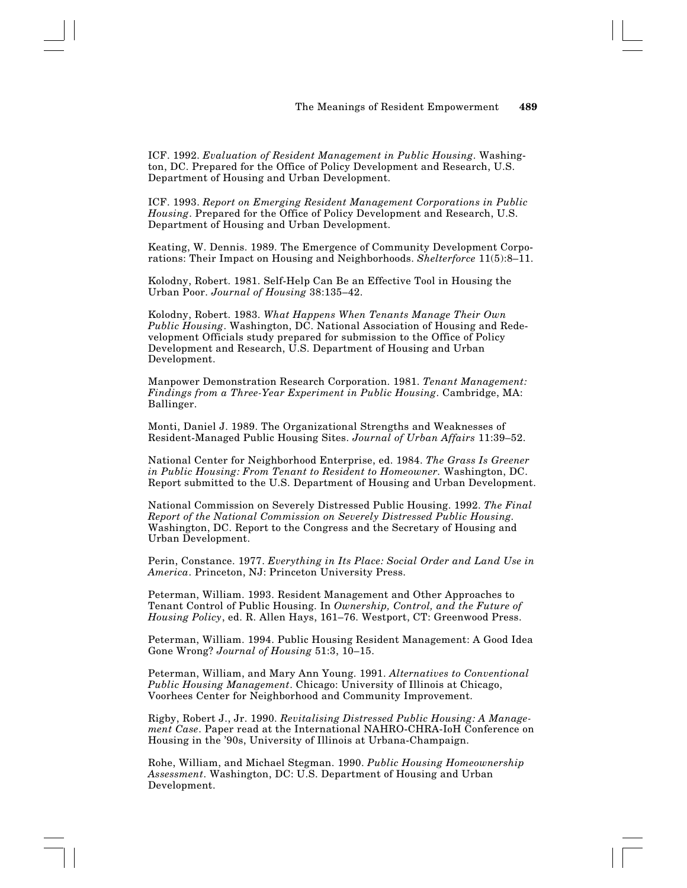ICF. 1992. *Evaluation of Resident Management in Public Housing*. Washington, DC. Prepared for the Office of Policy Development and Research, U.S. Department of Housing and Urban Development.

ICF. 1993. *Report on Emerging Resident Management Corporations in Public Housing*. Prepared for the Office of Policy Development and Research, U.S. Department of Housing and Urban Development.

Keating, W. Dennis. 1989. The Emergence of Community Development Corporations: Their Impact on Housing and Neighborhoods. *Shelterforce* 11(5):8–11.

Kolodny, Robert. 1981. Self-Help Can Be an Effective Tool in Housing the Urban Poor. *Journal of Housing* 38:135–42.

Kolodny, Robert. 1983. *What Happens When Tenants Manage Their Own Public Housing*. Washington, DC. National Association of Housing and Redevelopment Officials study prepared for submission to the Office of Policy Development and Research, U.S. Department of Housing and Urban Development.

Manpower Demonstration Research Corporation. 1981. *Tenant Management: Findings from a Three-Year Experiment in Public Housing*. Cambridge, MA: Ballinger.

Monti, Daniel J. 1989. The Organizational Strengths and Weaknesses of Resident-Managed Public Housing Sites. *Journal of Urban Affairs* 11:39–52.

National Center for Neighborhood Enterprise, ed. 1984. *The Grass Is Greener in Public Housing: From Tenant to Resident to Homeowner.* Washington, DC. Report submitted to the U.S. Department of Housing and Urban Development.

National Commission on Severely Distressed Public Housing. 1992. *The Final Report of the National Commission on Severely Distressed Public Housing.* Washington, DC. Report to the Congress and the Secretary of Housing and Urban Development.

Perin, Constance. 1977. *Everything in Its Place: Social Order and Land Use in America*. Princeton, NJ: Princeton University Press.

Peterman, William. 1993. Resident Management and Other Approaches to Tenant Control of Public Housing. In *Ownership, Control, and the Future of Housing Policy*, ed. R. Allen Hays, 161–76. Westport, CT: Greenwood Press.

Peterman, William. 1994. Public Housing Resident Management: A Good Idea Gone Wrong? *Journal of Housing* 51:3, 10–15.

Peterman, William, and Mary Ann Young. 1991. *Alternatives to Conventional Public Housing Management*. Chicago: University of Illinois at Chicago, Voorhees Center for Neighborhood and Community Improvement.

Rigby, Robert J., Jr. 1990. *Revitalising Distressed Public Housing: A Management Case*. Paper read at the International NAHRO-CHRA-IoH Conference on Housing in the '90s, University of Illinois at Urbana-Champaign.

Rohe, William, and Michael Stegman. 1990. *Public Housing Homeownership Assessment*. Washington, DC: U.S. Department of Housing and Urban Development.